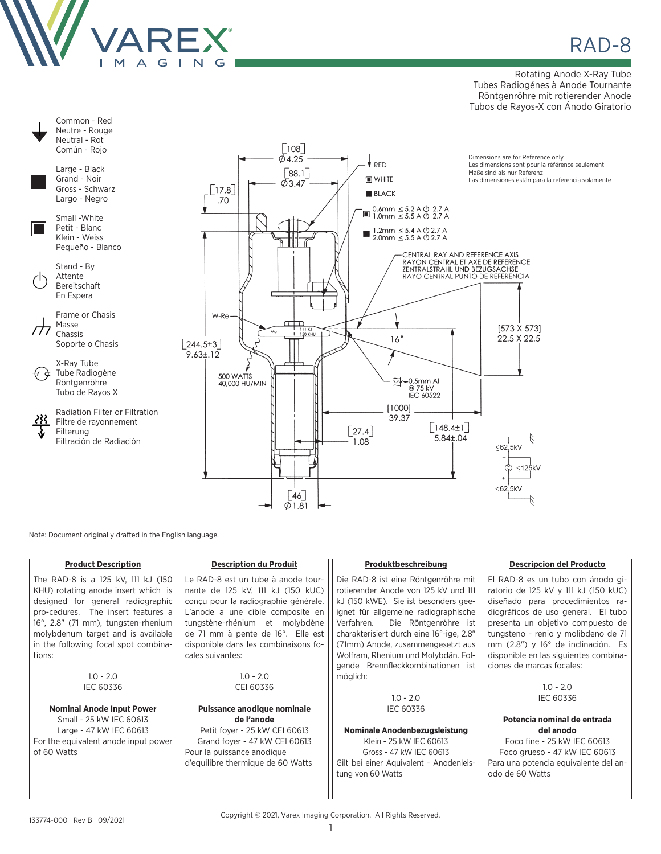

<u>e</u> RAD-8

Rotating Anode X-Ray Tube Tubes Radiogénes à Anode Tournante Röntgenröhre mit rotierender Anode Tubos de Rayos-X con Ánodo Giratorio



Note: Document originally drafted in the English language.

| <b>Product Description</b>           | <b>Description du Produit</b>        | Produktbeschreibung                      | <b>Descripcion del Producto</b>       |
|--------------------------------------|--------------------------------------|------------------------------------------|---------------------------------------|
| The RAD-8 is a 125 kV, 111 kJ (150   | Le RAD-8 est un tube à anode tour-   | Die RAD-8 ist eine Röntgenröhre mit      | El RAD-8 es un tubo con ánodo gi-     |
| KHU) rotating anode insert which is  | nante de 125 kV, 111 kJ (150 kUC)    | rotierender Anode von 125 kV und 111     | ratorio de 125 kV y 111 kJ (150 kUC)  |
| designed for general radiographic    | conçu pour la radiographie générale. | kJ (150 kWE). Sie ist besonders gee-     | diseñado para procedimientos ra-      |
| pro-cedures. The insert features a   | L'anode a une cible composite en     | ignet für allgemeine radiographische     | diográficos de uso general. El tubo   |
| 16°, 2.8" (71 mm), tungsten-rhenium  | tungstène-rhénium et molybdène       | Die Röntgenröhre ist<br>Verfahren.       | presenta un objetivo compuesto de     |
| molybdenum target and is available   | de 71 mm à pente de 16°. Elle est    | charakterisiert durch eine 16°-ige, 2.8" | tungsteno - renio y molibdeno de 71   |
| in the following focal spot combina- | disponible dans les combinaisons fo- | (71mm) Anode, zusammengesetzt aus        | mm (2.8") y 16° de inclinación. Es    |
| tions:                               | cales suivantes:                     | Wolfram, Rhenium und Molybdän. Fol-      | disponible en las siguientes combina- |
|                                      |                                      | gende Brennfleckkombinationen ist        | ciones de marcas focales:             |
| $1.0 - 2.0$                          | $1.0 - 2.0$                          | möglich:                                 |                                       |
| <b>IEC 60336</b>                     | CEI 60336                            |                                          | $1.0 - 2.0$                           |
|                                      |                                      | $1.0 - 2.0$                              | IEC 60336                             |
| <b>Nominal Anode Input Power</b>     | Puissance anodique nominale          | <b>IEC 60336</b>                         |                                       |
| Small - 25 kW IEC 60613              | de l'anode                           |                                          | Potencia nominal de entrada           |
| Large - 47 kW IEC 60613              | Petit foyer - 25 kW CEI 60613        | Nominale Anodenbezugsleistung            | del anodo                             |
| For the equivalent anode input power | Grand foyer - 47 kW CEI 60613        | Klein - 25 kW IEC 60613                  | Foco fine - 25 kW IEC 60613           |
| of 60 Watts                          | Pour la puissance anodique           | Gross - 47 kW IEC 60613                  | Foco grueso - 47 kW IEC 60613         |
|                                      | d'equilibre thermique de 60 Watts    | Gilt bei einer Aquivalent - Anodenleis-  | Para una potencia equivalente del an- |
|                                      |                                      | tung von 60 Watts                        | odo de 60 Watts                       |
|                                      |                                      |                                          |                                       |

Copyright © 2021, Varex Imaging Corporation. All Rights Reserved.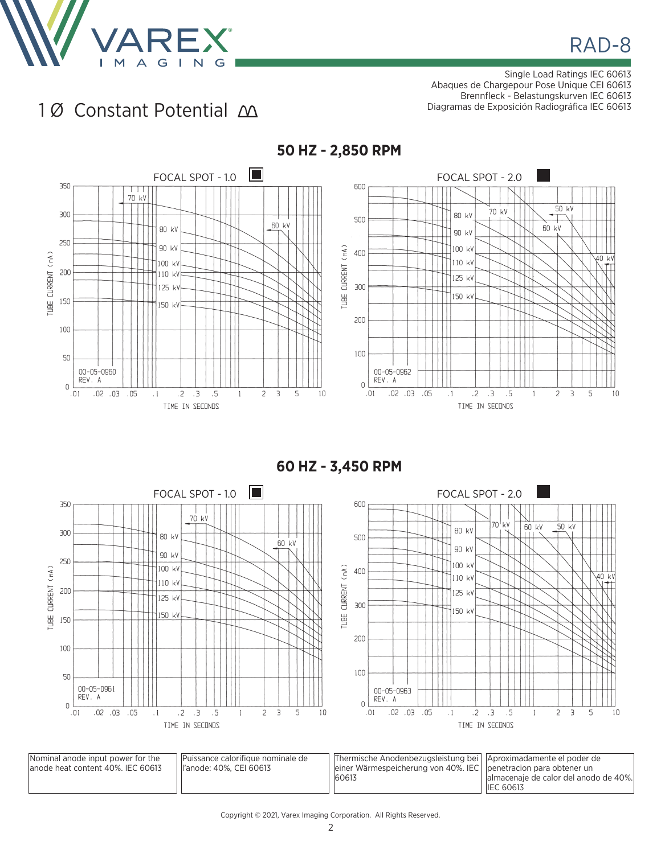

Single Load Ratings IEC 60613 Abaques de Chargepour Pose Unique CEI 60613 Brennfleck - Belastungskurven IEC 60613 Diagramas de Exposición Radiográfica IEC 60613

## 10 Constant Potential  $\Delta$



**60 HZ - 3,450 RPM**

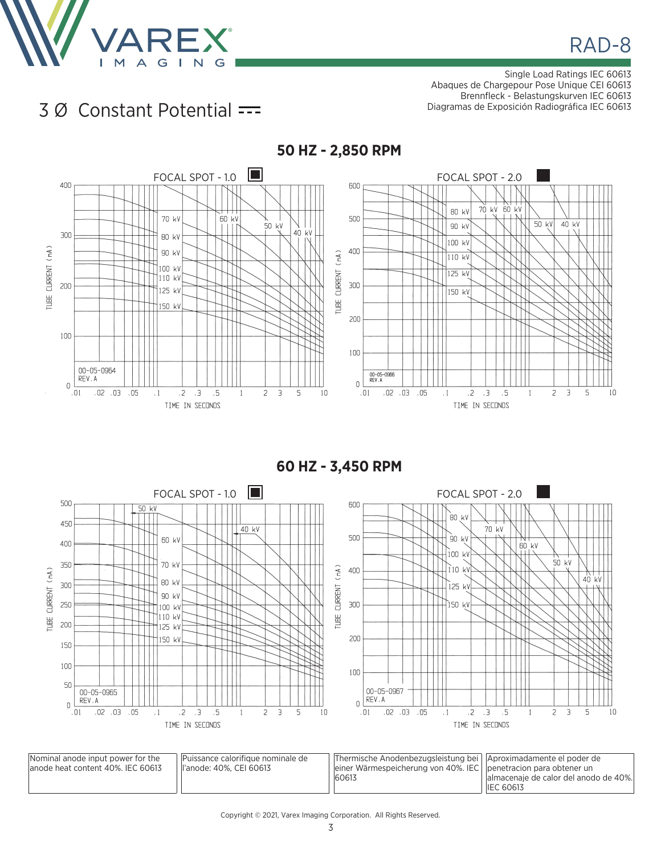

Single Load Ratings IEC 60613 Abaques de Chargepour Pose Unique CEI 60613 Brennfleck - Belastungskurven IEC 60613 Diagramas de Exposición Radiográfica IEC 60613

**IEC 60613** 

## 3 Ø Constant Potential



**60 HZ - 3,450 RPM**

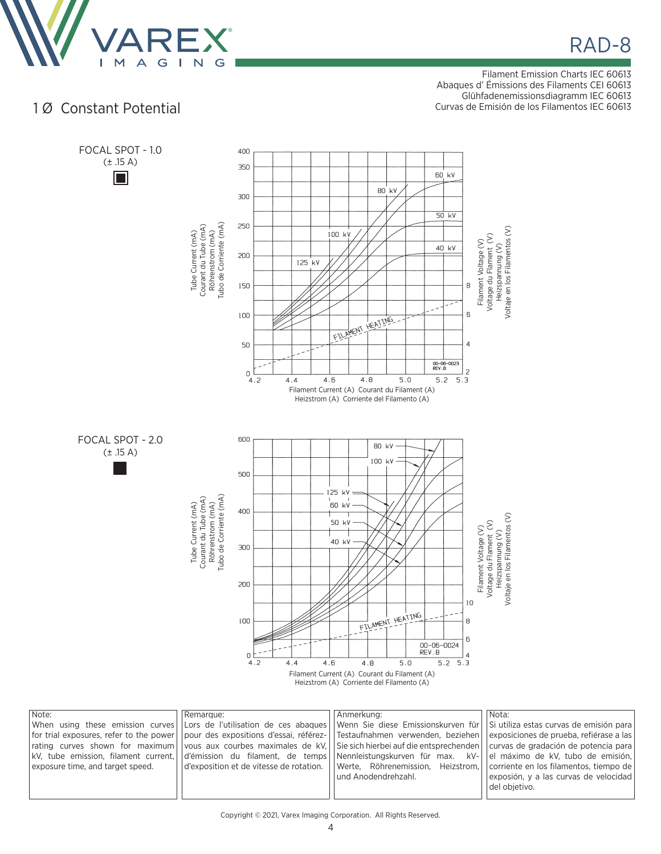

Filament Emission Charts IEC 60613 Abaques d' Émissions des Filaments CEI 60613

Glühfadenemissionsdiagramm IEC 60613

10 Constant Potential and the curvas de Emisión de los Filamentos IEC 60613



| Note:                            | Remarque: | Anmerkung:                                                                                                                                        | Nota:                                   |
|----------------------------------|-----------|---------------------------------------------------------------------------------------------------------------------------------------------------|-----------------------------------------|
|                                  |           | When using these emission curves LLors de l'utilisation de ces abagues Venn Sie diese Emissionskurven für Si utiliza estas curvas de emisión para |                                         |
|                                  |           | for trial exposures, refer to the power  pour des expositions d'essai, référez-  Testaufnahmen verwenden, beziehen                                | exposiciones de prueba, refiérase a las |
|                                  |           | rating curves shown for maximum vous aux courbes maximales de kV, Sie sich hierbei auf die entsprechenden curvas de gradación de potencia para    |                                         |
|                                  |           | kV, tube emission, filament current, d'émission du filament, de temps Nennleistungskurven für max. kV-                                            | el máximo de kV, tubo de emisión,       |
| exposure time, and target speed. |           | $\vert$ d'exposition et de vitesse de rotation. $\vert$ Werte, Röhrenemission, Heizstrom, Corriente en los filamentos, tiempo de $\vert$          |                                         |
|                                  |           | und Anodendrehzahl.                                                                                                                               | exposión, y a las curvas de velocidad   |
|                                  |           |                                                                                                                                                   | del obietivo.                           |
|                                  |           |                                                                                                                                                   |                                         |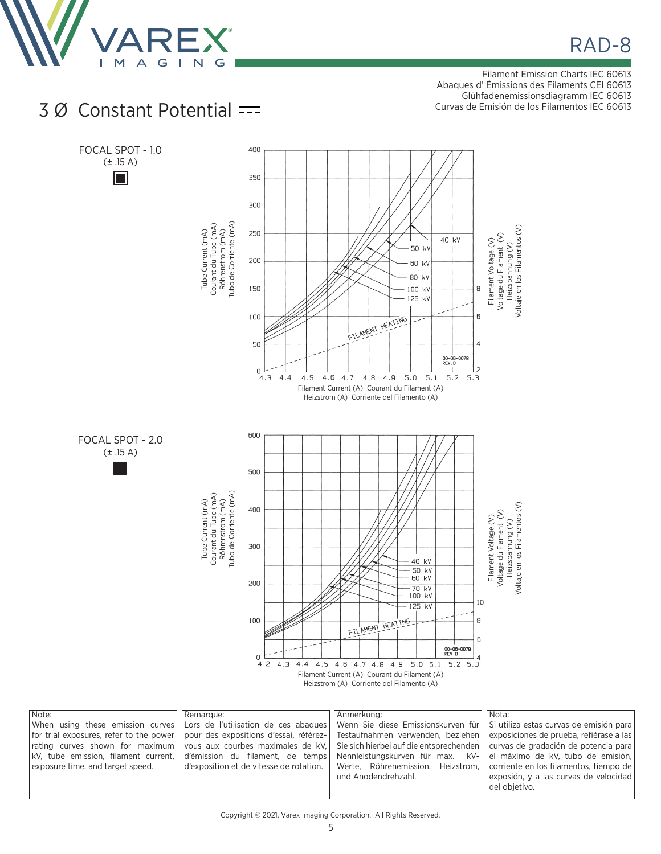

Filament Emission Charts IEC 60613 Abaques d' Émissions des Filaments CEI 60613

Glühfadenemissionsdiagramm IEC 60613 Curvas de Emisión de los Filamentos IEC 60613



## Copyright © 2021, Varex Imaging Corporation. All Rights Reserved.